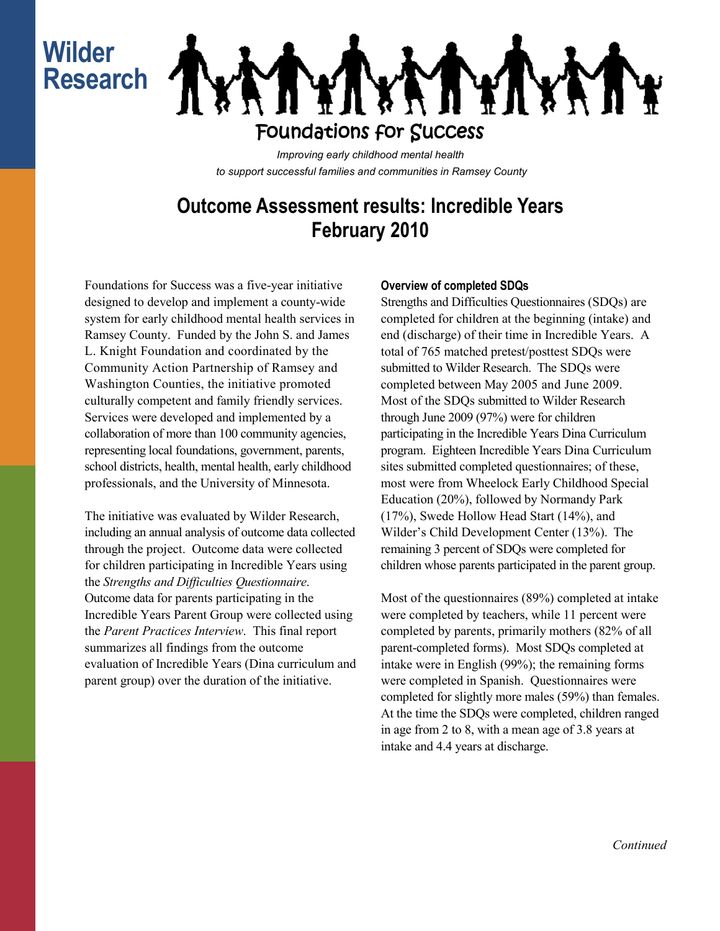# **Wilder Research**



*Improving early childhood mental health to support successful families and communities in Ramsey County*

## **Outcome Assessment results: Incredible Years February 2010**

Foundations for Success was a five-year initiative designed to develop and implement a county-wide system for early childhood mental health services in Ramsey County. Funded by the John S. and James L. Knight Foundation and coordinated by the Community Action Partnership of Ramsey and Washington Counties, the initiative promoted culturally competent and family friendly services. Services were developed and implemented by a collaboration of more than 100 community agencies, representing local foundations, government, parents, school districts, health, mental health, early childhood professionals, and the University of Minnesota.

The initiative was evaluated by Wilder Research, including an annual analysis of outcome data collected through the project. Outcome data were collected for children participating in Incredible Years using the *Strengths and Difficulties Questionnaire*. Outcome data for parents participating in the Incredible Years Parent Group were collected using the *Parent Practices Interview*. This final report summarizes all findings from the outcome evaluation of Incredible Years (Dina curriculum and parent group) over the duration of the initiative.

### **Overview of completed SDQs**

Strengths and Difficulties Questionnaires (SDQs) are completed for children at the beginning (intake) and end (discharge) of their time in Incredible Years. A total of 765 matched pretest/posttest SDQs were submitted to Wilder Research. The SDQs were completed between May 2005 and June 2009. Most of the SDQs submitted to Wilder Research through June 2009 (97%) were for children participating in the Incredible Years Dina Curriculum program. Eighteen Incredible Years Dina Curriculum sites submitted completed questionnaires; of these, most were from Wheelock Early Childhood Special Education (20%), followed by Normandy Park (17%), Swede Hollow Head Start (14%), and Wilder's Child Development Center (13%). The remaining 3 percent of SDQs were completed for children whose parents participated in the parent group.

Most of the questionnaires (89%) completed at intake were completed by teachers, while 11 percent were completed by parents, primarily mothers (82% of all parent-completed forms). Most SDQs completed at intake were in English (99%); the remaining forms were completed in Spanish. Questionnaires were completed for slightly more males (59%) than females. At the time the SDQs were completed, children ranged in age from 2 to 8, with a mean age of 3.8 years at intake and 4.4 years at discharge.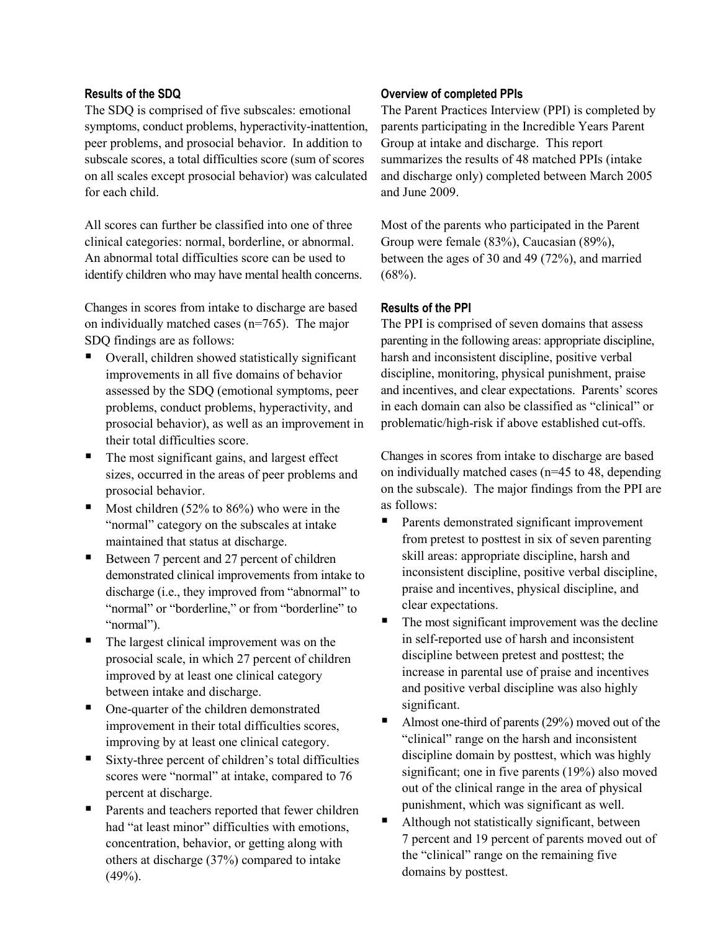#### **Results of the SDQ**

The SDQ is comprised of five subscales: emotional symptoms, conduct problems, hyperactivity-inattention, peer problems, and prosocial behavior. In addition to subscale scores, a total difficulties score (sum of scores on all scales except prosocial behavior) was calculated for each child.

All scores can further be classified into one of three clinical categories: normal, borderline, or abnormal. An abnormal total difficulties score can be used to identify children who may have mental health concerns.

Changes in scores from intake to discharge are based on individually matched cases (n=765). The major SDQ findings are as follows:

- Overall, children showed statistically significant improvements in all five domains of behavior assessed by the SDQ (emotional symptoms, peer problems, conduct problems, hyperactivity, and prosocial behavior), as well as an improvement in their total difficulties score.
- The most significant gains, and largest effect sizes, occurred in the areas of peer problems and prosocial behavior.
- Most children (52% to 86%) who were in the "normal" category on the subscales at intake maintained that status at discharge.
- Between 7 percent and 27 percent of children demonstrated clinical improvements from intake to discharge (i.e., they improved from "abnormal" to "normal" or "borderline," or from "borderline" to "normal").
- The largest clinical improvement was on the prosocial scale, in which 27 percent of children improved by at least one clinical category between intake and discharge.
- One-quarter of the children demonstrated improvement in their total difficulties scores, improving by at least one clinical category.
- Sixty-three percent of children's total difficulties scores were "normal" at intake, compared to 76 percent at discharge.
- Parents and teachers reported that fewer children had "at least minor" difficulties with emotions, concentration, behavior, or getting along with others at discharge (37%) compared to intake  $(49%).$

#### **Overview of completed PPIs**

The Parent Practices Interview (PPI) is completed by parents participating in the Incredible Years Parent Group at intake and discharge. This report summarizes the results of 48 matched PPIs (intake and discharge only) completed between March 2005 and June 2009.

Most of the parents who participated in the Parent Group were female (83%), Caucasian (89%), between the ages of 30 and 49 (72%), and married  $(68\%)$ .

#### **Results of the PPI**

The PPI is comprised of seven domains that assess parenting in the following areas: appropriate discipline, harsh and inconsistent discipline, positive verbal discipline, monitoring, physical punishment, praise and incentives, and clear expectations. Parents' scores in each domain can also be classified as "clinical" or problematic/high-risk if above established cut-offs.

Changes in scores from intake to discharge are based on individually matched cases (n=45 to 48, depending on the subscale). The major findings from the PPI are as follows:

- Parents demonstrated significant improvement from pretest to posttest in six of seven parenting skill areas: appropriate discipline, harsh and inconsistent discipline, positive verbal discipline, praise and incentives, physical discipline, and clear expectations.
- The most significant improvement was the decline in self-reported use of harsh and inconsistent discipline between pretest and posttest; the increase in parental use of praise and incentives and positive verbal discipline was also highly significant.
- Almost one-third of parents (29%) moved out of the "clinical" range on the harsh and inconsistent discipline domain by posttest, which was highly significant; one in five parents (19%) also moved out of the clinical range in the area of physical punishment, which was significant as well.
- Although not statistically significant, between 7 percent and 19 percent of parents moved out of the "clinical" range on the remaining five domains by posttest.